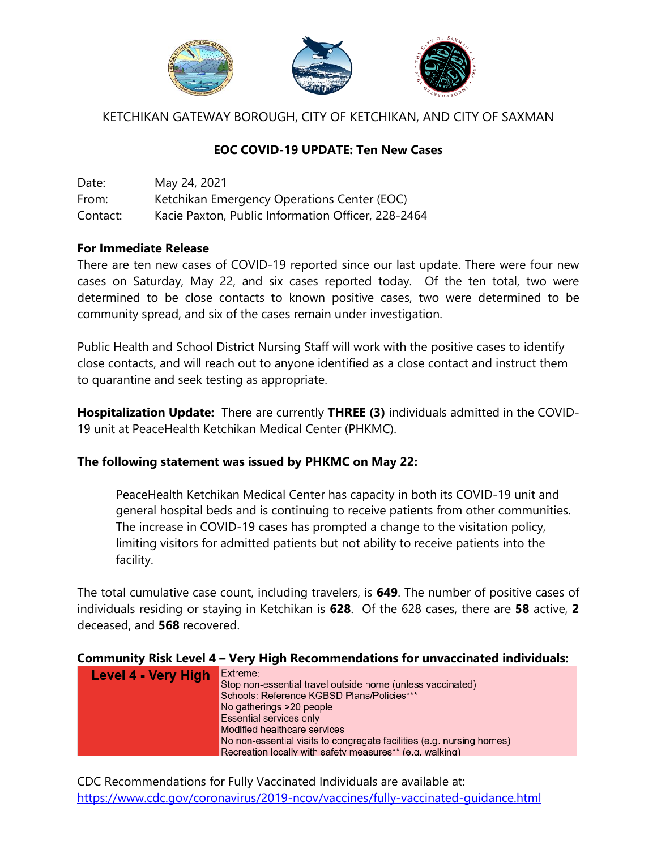

## KETCHIKAN GATEWAY BOROUGH, CITY OF KETCHIKAN, AND CITY OF SAXMAN

## **EOC COVID-19 UPDATE: Ten New Cases**

| Date:    | May 24, 2021                                       |
|----------|----------------------------------------------------|
| From:    | Ketchikan Emergency Operations Center (EOC)        |
| Contact: | Kacie Paxton, Public Information Officer, 228-2464 |

### **For Immediate Release**

There are ten new cases of COVID-19 reported since our last update. There were four new cases on Saturday, May 22, and six cases reported today. Of the ten total, two were determined to be close contacts to known positive cases, two were determined to be community spread, and six of the cases remain under investigation.

Public Health and School District Nursing Staff will work with the positive cases to identify close contacts, and will reach out to anyone identified as a close contact and instruct them to quarantine and seek testing as appropriate.

**Hospitalization Update:** There are currently **THREE (3)** individuals admitted in the COVID-19 unit at PeaceHealth Ketchikan Medical Center (PHKMC).

#### **The following statement was issued by PHKMC on May 22:**

PeaceHealth Ketchikan Medical Center has capacity in both its COVID-19 unit and general hospital beds and is continuing to receive patients from other communities. The increase in COVID-19 cases has prompted a change to the visitation policy, limiting visitors for admitted patients but not ability to receive patients into the facility.

The total cumulative case count, including travelers, is **649**. The number of positive cases of individuals residing or staying in Ketchikan is **628**. Of the 628 cases, there are **58** active, **2**  deceased, and **568** recovered.

#### **Community Risk Level 4 – Very High Recommendations for unvaccinated individuals:**

| Level 4 - Very High | Extreme:                                                              |
|---------------------|-----------------------------------------------------------------------|
|                     | Stop non-essential travel outside home (unless vaccinated)            |
|                     | Schools: Reference KGBSD Plans/Policies***                            |
|                     | No gatherings >20 people                                              |
|                     | <b>Essential services only</b>                                        |
|                     | Modified healthcare services                                          |
|                     | No non-essential visits to congregate facilities (e.g. nursing homes) |
|                     | Recreation locally with safety measures** (e.g. walking)              |

CDC Recommendations for Fully Vaccinated Individuals are available at: <https://www.cdc.gov/coronavirus/2019-ncov/vaccines/fully-vaccinated-guidance.html>